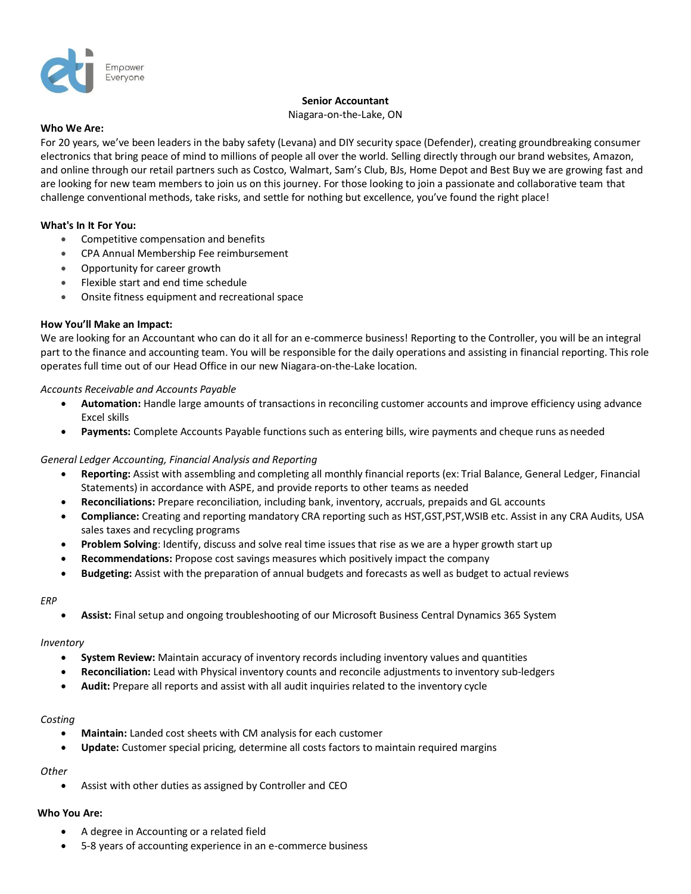

#### **Senior Accountant**

Niagara-on-the-Lake, ON

### **Who We Are:**

For 20 years, we've been leaders in the baby safety (Levana) and DIY security space (Defender), creating groundbreaking consumer electronics that bring peace of mind to millions of people all over the world. Selling directly through our brand websites, Amazon, and online through our retail partners such as Costco, Walmart, Sam's Club, BJs, Home Depot and Best Buy we are growing fast and are looking for new team members to join us on this journey. For those looking to join a passionate and collaborative team that challenge conventional methods, take risks, and settle for nothing but excellence, you've found the right place!

### **What's In It For You:**

- Competitive compensation and benefits
- CPA Annual Membership Fee reimbursement
- Opportunity for career growth
- Flexible start and end time schedule
- Onsite fitness equipment and recreational space

### **How You'll Make an Impact:**

We are looking for an Accountant who can do it all for an e-commerce business! Reporting to the Controller, you will be an integral part to the finance and accounting team. You will be responsible for the daily operations and assisting in financial reporting. This role operates full time out of our Head Office in our new Niagara-on-the-Lake location.

### *Accounts Receivable and Accounts Payable*

- **Automation:** Handle large amounts of transactions in reconciling customer accounts and improve efficiency using advance Excel skills
- **Payments:** Complete Accounts Payable functions such as entering bills, wire payments and cheque runs as needed

## *General Ledger Accounting, Financial Analysis and Reporting*

- **Reporting:** Assist with assembling and completing all monthly financial reports (ex: Trial Balance, General Ledger, Financial Statements) in accordance with ASPE, and provide reports to other teams as needed
- **Reconciliations:** Prepare reconciliation, including bank, inventory, accruals, prepaids and GL accounts
- **Compliance:** Creating and reporting mandatory CRA reporting such as HST,GST,PST,WSIB etc. Assist in any CRA Audits, USA sales taxes and recycling programs
- **Problem Solving**: Identify, discuss and solve real time issues that rise as we are a hyper growth start up
- **Recommendations:** Propose cost savings measures which positively impact the company
- **Budgeting:** Assist with the preparation of annual budgets and forecasts as well as budget to actual reviews

## *ERP*

• **Assist:** Final setup and ongoing troubleshooting of our Microsoft Business Central Dynamics 365 System

# *Inventory*

- **System Review:** Maintain accuracy of inventory records including inventory values and quantities
- **Reconciliation:** Lead with Physical inventory counts and reconcile adjustments to inventory sub-ledgers
- **Audit:** Prepare all reports and assist with all audit inquiries related to the inventory cycle

# *Costing*

- **Maintain:** Landed cost sheets with CM analysis for each customer
- **Update:** Customer special pricing, determine all costs factors to maintain required margins

# *Other*

• Assist with other duties as assigned by Controller and CEO

# **Who You Are:**

- A degree in Accounting or a related field
- 5-8 years of accounting experience in an e-commerce business